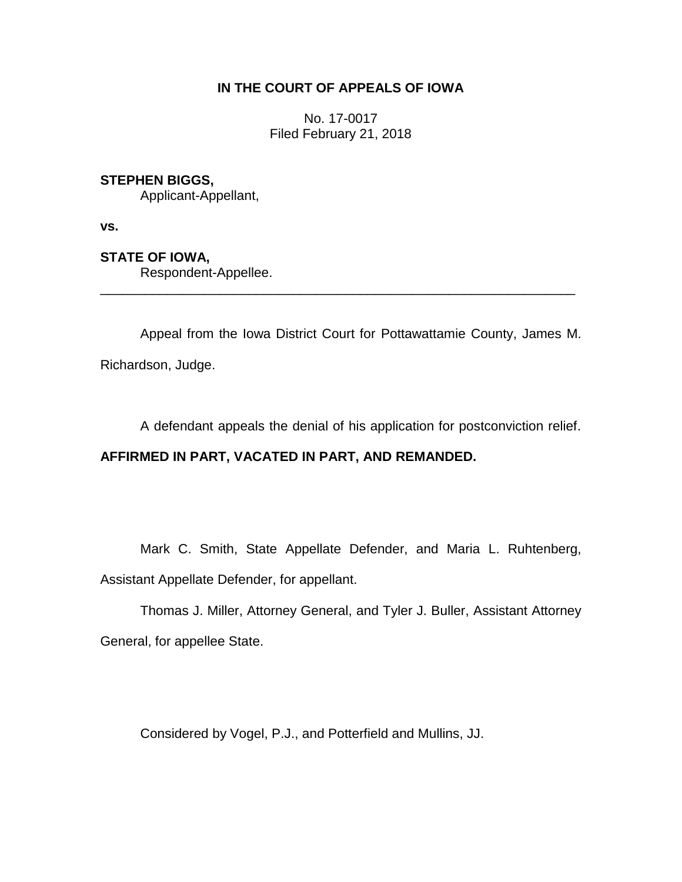# **IN THE COURT OF APPEALS OF IOWA**

No. 17-0017 Filed February 21, 2018

# **STEPHEN BIGGS,**

Applicant-Appellant,

**vs.**

# **STATE OF IOWA,**

Respondent-Appellee.

Appeal from the Iowa District Court for Pottawattamie County, James M.

\_\_\_\_\_\_\_\_\_\_\_\_\_\_\_\_\_\_\_\_\_\_\_\_\_\_\_\_\_\_\_\_\_\_\_\_\_\_\_\_\_\_\_\_\_\_\_\_\_\_\_\_\_\_\_\_\_\_\_\_\_\_\_\_

Richardson, Judge.

A defendant appeals the denial of his application for postconviction relief.

# **AFFIRMED IN PART, VACATED IN PART, AND REMANDED.**

Mark C. Smith, State Appellate Defender, and Maria L. Ruhtenberg, Assistant Appellate Defender, for appellant.

Thomas J. Miller, Attorney General, and Tyler J. Buller, Assistant Attorney General, for appellee State.

Considered by Vogel, P.J., and Potterfield and Mullins, JJ.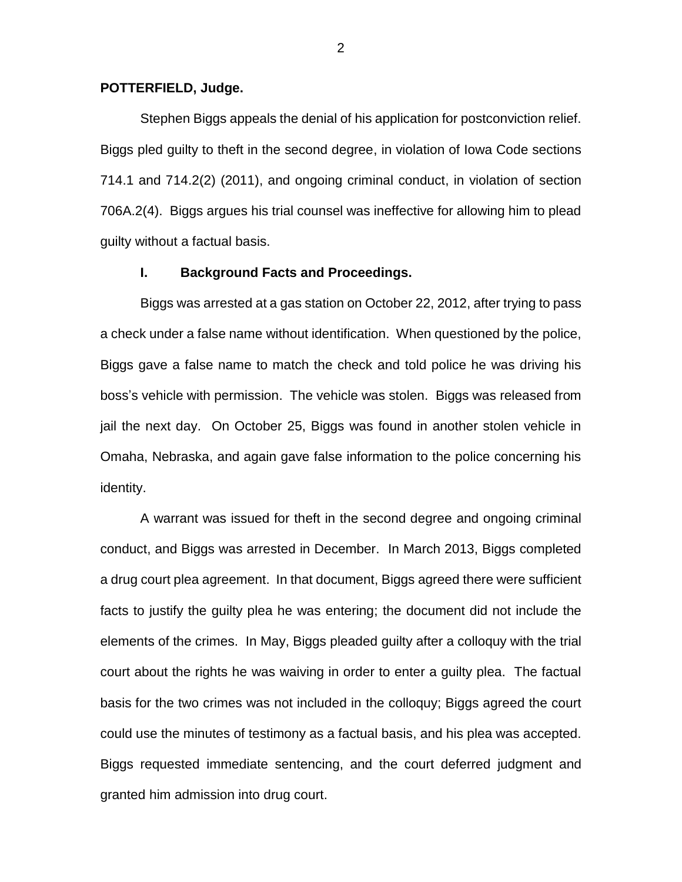### **POTTERFIELD, Judge.**

Stephen Biggs appeals the denial of his application for postconviction relief. Biggs pled guilty to theft in the second degree, in violation of Iowa Code sections 714.1 and 714.2(2) (2011), and ongoing criminal conduct, in violation of section 706A.2(4). Biggs argues his trial counsel was ineffective for allowing him to plead guilty without a factual basis.

#### **I. Background Facts and Proceedings.**

Biggs was arrested at a gas station on October 22, 2012, after trying to pass a check under a false name without identification. When questioned by the police, Biggs gave a false name to match the check and told police he was driving his boss's vehicle with permission. The vehicle was stolen. Biggs was released from jail the next day. On October 25, Biggs was found in another stolen vehicle in Omaha, Nebraska, and again gave false information to the police concerning his identity.

A warrant was issued for theft in the second degree and ongoing criminal conduct, and Biggs was arrested in December. In March 2013, Biggs completed a drug court plea agreement. In that document, Biggs agreed there were sufficient facts to justify the guilty plea he was entering; the document did not include the elements of the crimes. In May, Biggs pleaded guilty after a colloquy with the trial court about the rights he was waiving in order to enter a guilty plea. The factual basis for the two crimes was not included in the colloquy; Biggs agreed the court could use the minutes of testimony as a factual basis, and his plea was accepted. Biggs requested immediate sentencing, and the court deferred judgment and granted him admission into drug court.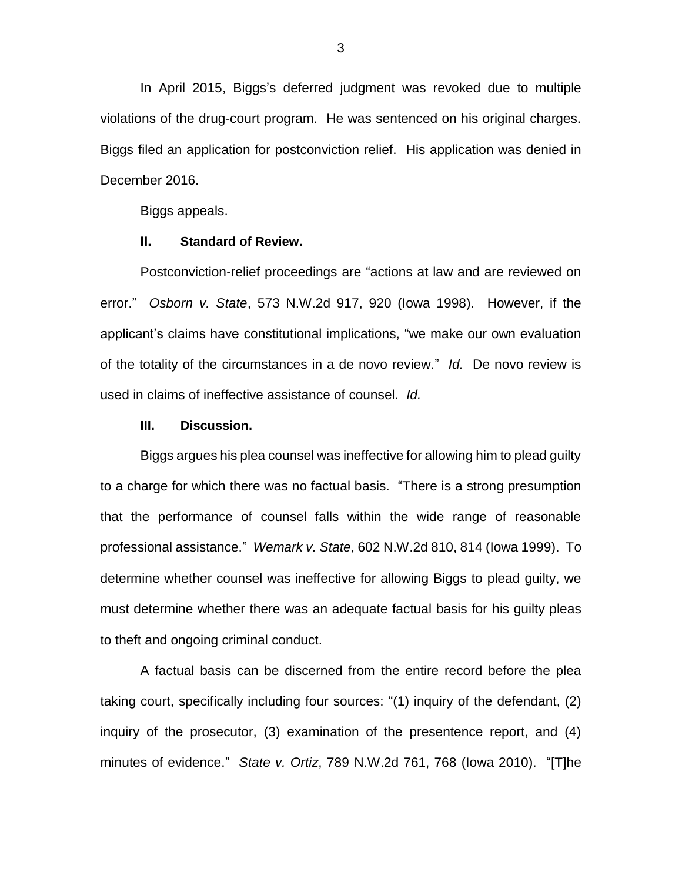In April 2015, Biggs's deferred judgment was revoked due to multiple violations of the drug-court program. He was sentenced on his original charges. Biggs filed an application for postconviction relief. His application was denied in December 2016.

Biggs appeals.

#### **II. Standard of Review.**

Postconviction-relief proceedings are "actions at law and are reviewed on error." *Osborn v. State*, 573 N.W.2d 917, 920 (Iowa 1998). However, if the applicant's claims have constitutional implications, "we make our own evaluation of the totality of the circumstances in a de novo review." *Id.* De novo review is used in claims of ineffective assistance of counsel. *Id.* 

### **III. Discussion.**

Biggs argues his plea counsel was ineffective for allowing him to plead guilty to a charge for which there was no factual basis. "There is a strong presumption that the performance of counsel falls within the wide range of reasonable professional assistance." *Wemark v. State*, 602 N.W.2d 810, 814 (Iowa 1999). To determine whether counsel was ineffective for allowing Biggs to plead guilty, we must determine whether there was an adequate factual basis for his guilty pleas to theft and ongoing criminal conduct.

A factual basis can be discerned from the entire record before the plea taking court, specifically including four sources: "(1) inquiry of the defendant, (2) inquiry of the prosecutor, (3) examination of the presentence report, and (4) minutes of evidence." *State v. Ortiz*, 789 N.W.2d 761, 768 (Iowa 2010). "[T]he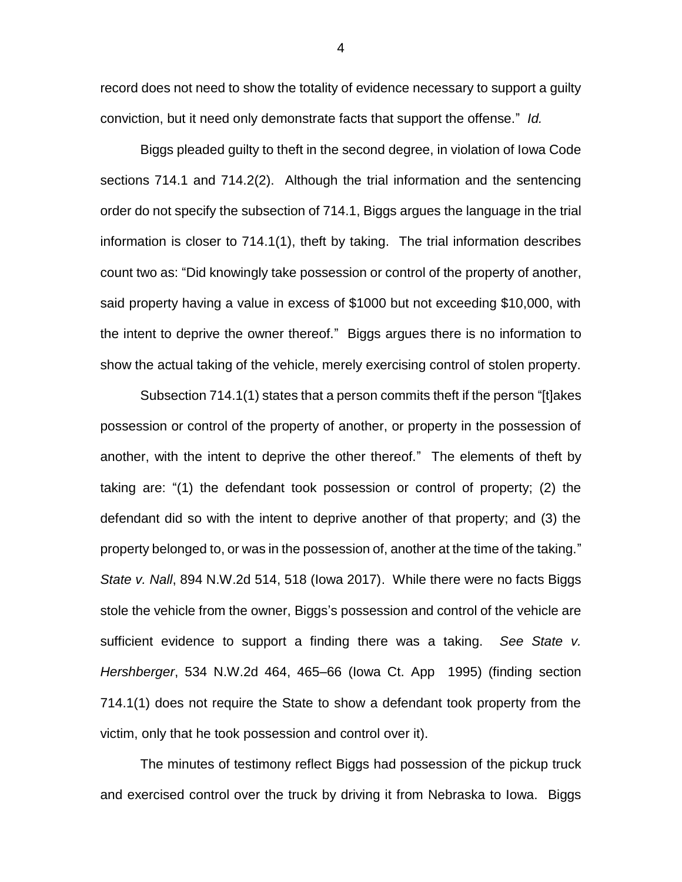record does not need to show the totality of evidence necessary to support a guilty conviction, but it need only demonstrate facts that support the offense." *Id.* 

Biggs pleaded guilty to theft in the second degree, in violation of Iowa Code sections 714.1 and 714.2(2). Although the trial information and the sentencing order do not specify the subsection of 714.1, Biggs argues the language in the trial information is closer to 714.1(1), theft by taking. The trial information describes count two as: "Did knowingly take possession or control of the property of another, said property having a value in excess of \$1000 but not exceeding \$10,000, with the intent to deprive the owner thereof." Biggs argues there is no information to show the actual taking of the vehicle, merely exercising control of stolen property.

Subsection 714.1(1) states that a person commits theft if the person "[t]akes possession or control of the property of another, or property in the possession of another, with the intent to deprive the other thereof." The elements of theft by taking are: "(1) the defendant took possession or control of property; (2) the defendant did so with the intent to deprive another of that property; and (3) the property belonged to, or was in the possession of, another at the time of the taking." *State v. Nall*, 894 N.W.2d 514, 518 (Iowa 2017). While there were no facts Biggs stole the vehicle from the owner, Biggs's possession and control of the vehicle are sufficient evidence to support a finding there was a taking. *See State v. Hershberger*, 534 N.W.2d 464, 465–66 (Iowa Ct. App 1995) (finding section 714.1(1) does not require the State to show a defendant took property from the victim, only that he took possession and control over it).

The minutes of testimony reflect Biggs had possession of the pickup truck and exercised control over the truck by driving it from Nebraska to Iowa. Biggs

4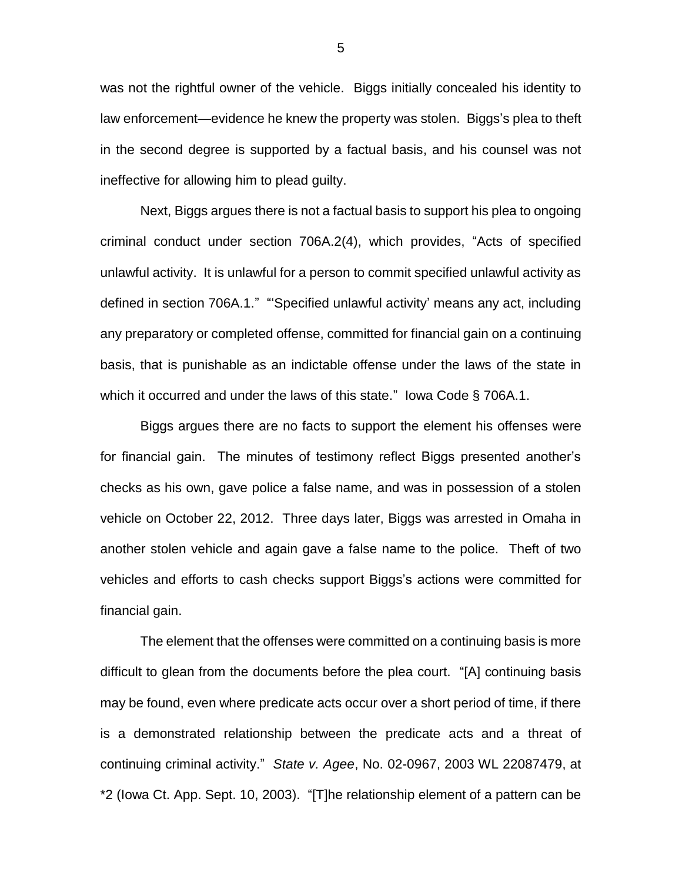was not the rightful owner of the vehicle. Biggs initially concealed his identity to law enforcement—evidence he knew the property was stolen. Biggs's plea to theft in the second degree is supported by a factual basis, and his counsel was not ineffective for allowing him to plead guilty.

Next, Biggs argues there is not a factual basis to support his plea to ongoing criminal conduct under section 706A.2(4), which provides, "Acts of specified unlawful activity. It is unlawful for a person to commit specified unlawful activity as defined in section 706A.1." "'Specified unlawful activity' means any act, including any preparatory or completed offense, committed for financial gain on a continuing basis, that is punishable as an indictable offense under the laws of the state in which it occurred and under the laws of this state." lowa Code § 706A.1.

Biggs argues there are no facts to support the element his offenses were for financial gain. The minutes of testimony reflect Biggs presented another's checks as his own, gave police a false name, and was in possession of a stolen vehicle on October 22, 2012. Three days later, Biggs was arrested in Omaha in another stolen vehicle and again gave a false name to the police. Theft of two vehicles and efforts to cash checks support Biggs's actions were committed for financial gain.

The element that the offenses were committed on a continuing basis is more difficult to glean from the documents before the plea court. "[A] continuing basis may be found, even where predicate acts occur over a short period of time, if there is a demonstrated relationship between the predicate acts and a threat of continuing criminal activity." *State v. Agee*, No. 02-0967, 2003 WL 22087479, at \*2 (Iowa Ct. App. Sept. 10, 2003). "[T]he relationship element of a pattern can be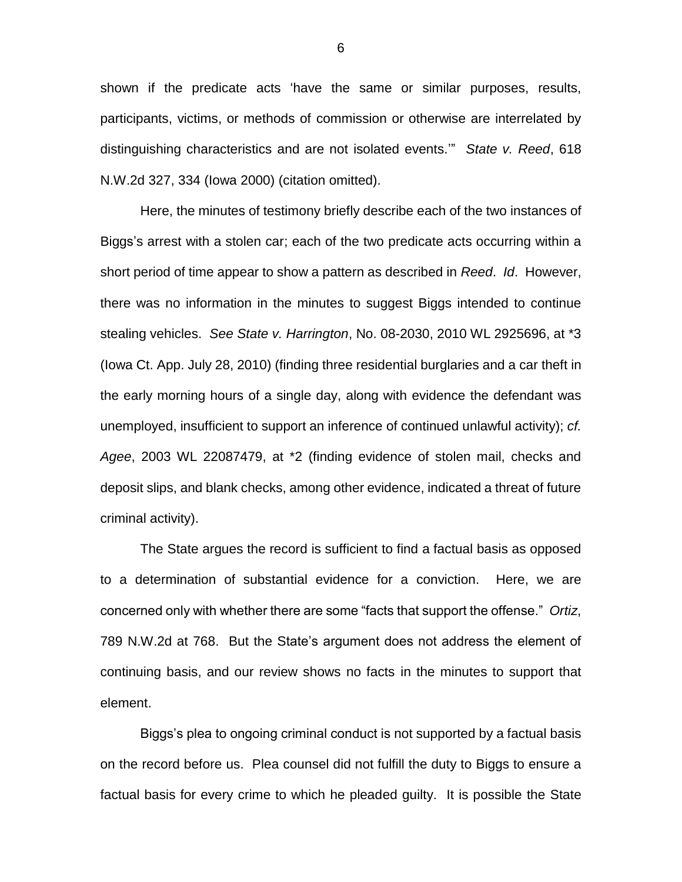shown if the predicate acts 'have the same or similar purposes, results, participants, victims, or methods of commission or otherwise are interrelated by distinguishing characteristics and are not isolated events.'" *State v. Reed*, 618 N.W.2d 327, 334 (Iowa 2000) (citation omitted).

Here, the minutes of testimony briefly describe each of the two instances of Biggs's arrest with a stolen car; each of the two predicate acts occurring within a short period of time appear to show a pattern as described in *Reed*. *Id*. However, there was no information in the minutes to suggest Biggs intended to continue stealing vehicles. *See State v. Harrington*, No. 08-2030, 2010 WL 2925696, at \*3 (Iowa Ct. App. July 28, 2010) (finding three residential burglaries and a car theft in the early morning hours of a single day, along with evidence the defendant was unemployed, insufficient to support an inference of continued unlawful activity); *cf. Agee*, 2003 WL 22087479, at \*2 (finding evidence of stolen mail, checks and deposit slips, and blank checks, among other evidence, indicated a threat of future criminal activity).

The State argues the record is sufficient to find a factual basis as opposed to a determination of substantial evidence for a conviction. Here, we are concerned only with whether there are some "facts that support the offense." *Ortiz*, 789 N.W.2d at 768. But the State's argument does not address the element of continuing basis, and our review shows no facts in the minutes to support that element.

Biggs's plea to ongoing criminal conduct is not supported by a factual basis on the record before us. Plea counsel did not fulfill the duty to Biggs to ensure a factual basis for every crime to which he pleaded guilty. It is possible the State

6